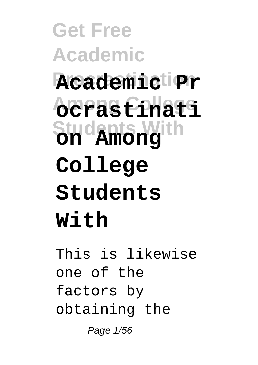**Get Free Academic Procrastination Academic Pr Among College ocrastinati Students With on Among College Students With**

This is likewise one of the factors by obtaining the Page 1/56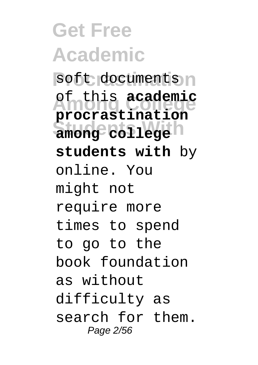**Get Free Academic** soft documents n **Among College** of this **academic Students With among college procrastination students with** by online. You might not require more times to spend to go to the book foundation as without difficulty as search for them. Page 2/56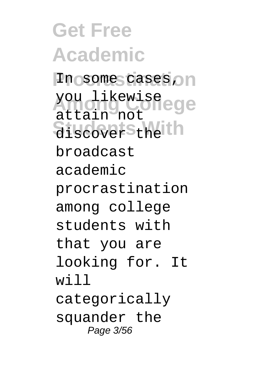**Get Free Academic** In some cases on you likewise<br>Attainance Olege **Students With** discover the attain not broadcast academic procrastination among college students with that you are looking for. It will categorically squander the Page 3/56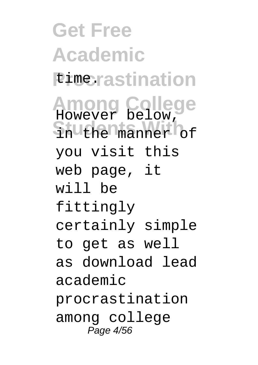**Get Free Academic** *<u>Pimerastination</u>* **Among College** However below, **Students With** in the manner of you visit this web page, it will be fittingly certainly simple to get as well as download lead academic procrastination among college Page 4/56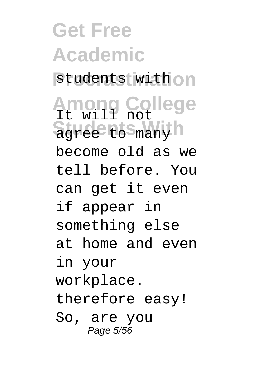**Get Free Academic** students with on **Among College** It will not **Students With With** become old as we tell before. You can get it even if appear in something else at home and even in your workplace. therefore easy! So, are you Page 5/56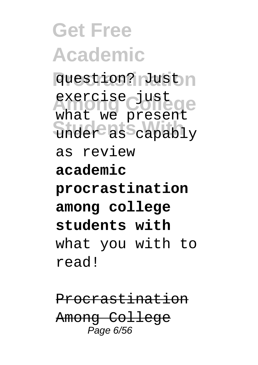**Get Free Academic** question? Just n exercise just<br>what we present **Students With** under as capably exercise just as review **academic procrastination among college students with** what you with to read!

Procrastination Among College Page 6/56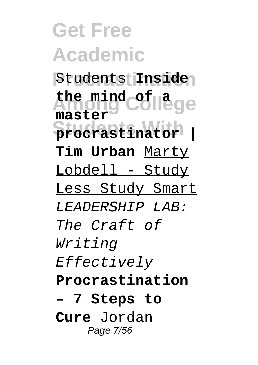**Get Free Academic Procrastination** Students **Inside Among College the mind of a Students With procrastinator | master Tim Urban** Marty Lobdell - Study Less Study Smart LEADERSHIP LAB: The Craft of Writing Effectively **Procrastination – 7 Steps to Cure** Jordan Page 7/56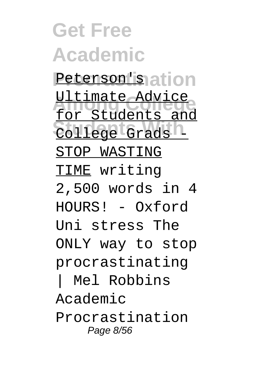**Get Free Academic** Peterson'is ation <u>Ultimate Advice</u> College Grads 1 for Students and STOP WASTING TIME writing 2,500 words in 4 HOURS! - Oxford Uni stress The ONLY way to stop procrastinating Mel Robbins Academic Procrastination Page 8/56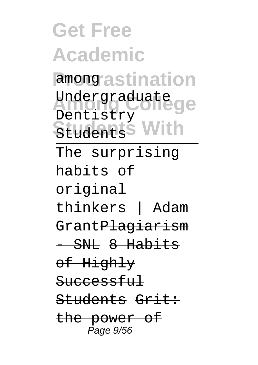**Get Free Academic** among astination Undergraduate<br>Pentistus Students With Dentistry The surprising habits of original thinkers | Adam Grant<del>Plagiarism</del>  $-$  SNL 8 Habits of Highly Successful Students Grit: the power of Page 9/56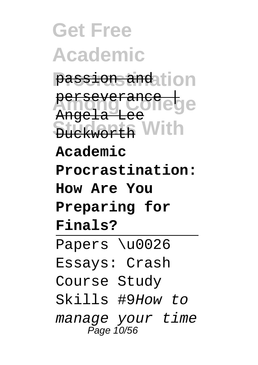**Get Free Academic Procrastination** passion and **Perseverance Students With** Duckworth Angela Lee **Academic Procrastination: How Are You Preparing for Finals?** Papers \u0026 Essays: Crash Course Study Skills #9How to manage your time Page 10/56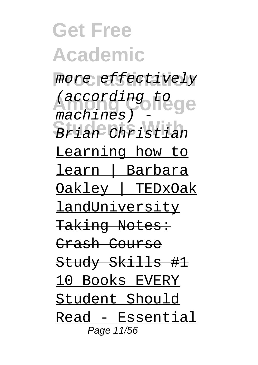**Get Free Academic** more effectively *(according to ge* **Students With** Brian Christian  $m$ achines) Learning how to learn | Barbara Oakley | TEDxOak landUniversity Taking Notes: Crash Course Study Skills #1 10 Books EVERY Student Should Read - Essential Page 11/56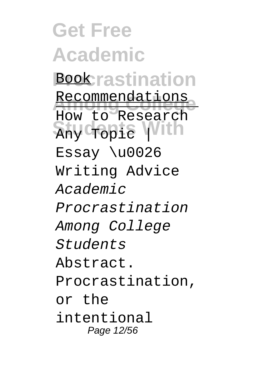**Get Free Academic Bookrastination** Recommendations **Students With** Any Topic | How to Research Essay \u0026 Writing Advice Academic Procrastination Among College Students Abstract. Procrastination, or the intentional Page 12/56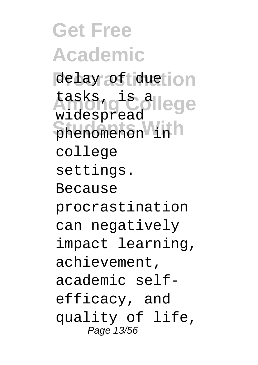**Get Free Academic** delay of duetion **Lasks, give allege Students With** phenomenon in widespread college settings. Because procrastination can negatively impact learning, achievement, academic selfefficacy, and quality of life, Page 13/56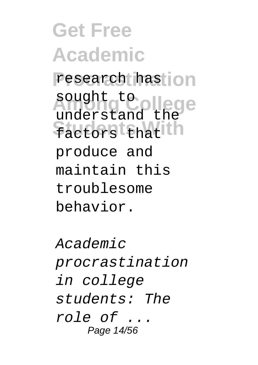**Get Free Academic** research has **jon** sought to ollege **Students With** factors that understand the produce and maintain this troublesome behavior.

Academic procrastination in college students: The role of ... Page 14/56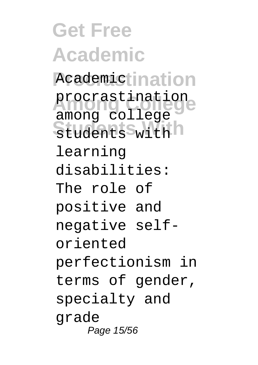**Get Free Academic** Academictination procrastination<br> *Among College* **Students With** students with among college learning disabilities: The role of positive and negative selforiented perfectionism in terms of gender, specialty and grade Page 15/56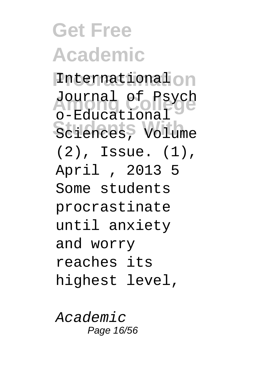**Get Free Academic Procrastination** International Journal of Psych Sciences, Volume o-Educational (2), Issue. (1), April , 2013 5 Some students procrastinate until anxiety and worry reaches its highest level,

Academic Page 16/56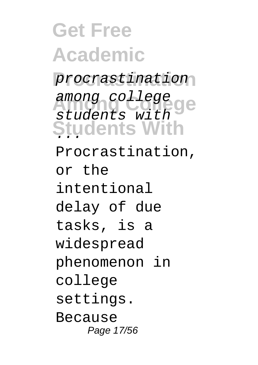**Get Free Academic Procrastination** procrastination **Among College** among college Students With students with Procrastination, or the intentional delay of due tasks, is a widespread phenomenon in college settings. Because Page 17/56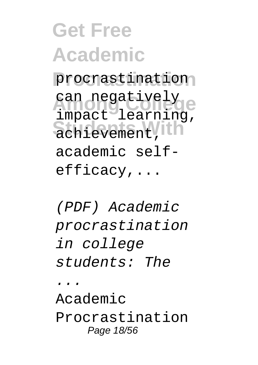**Get Free Academic Procrastination** procrastination can negatively<br>import learning **Students With** achievement, impact learning, academic selfefficacy,...

(PDF) Academic procrastination in college students: The ... Academic Procrastination Page 18/56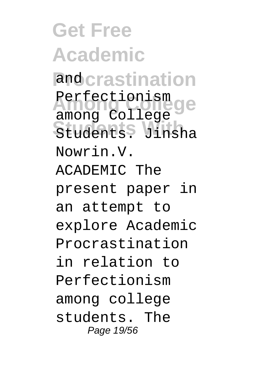**Get Free Academic** and crastination **Among College** among College Students<sup>9</sup> Jinsha Perfectionism Nowrin.V. ACADEMIC The present paper in an attempt to explore Academic Procrastination in relation to Perfectionism among college students. The Page 19/56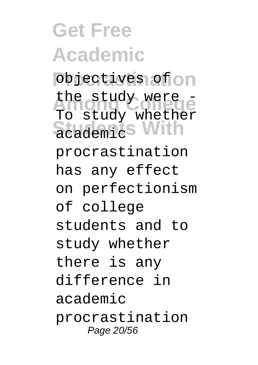**Get Free Academic** objectives of on the study were **Students With** academic To study whether procrastination has any effect on perfectionism of college students and to study whether there is any difference in academic procrastination Page 20/56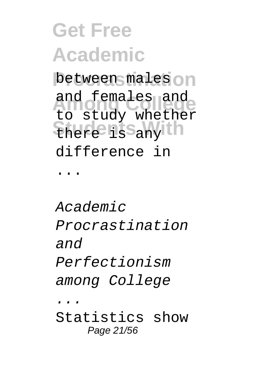## **Get Free Academic** between males<sup>on</sup> and females and<br> **be** chudu upsthem **Students With** there is any to study whether difference in ...

#### Academic Procrastination and Perfectionism among College ... Statistics show Page 21/56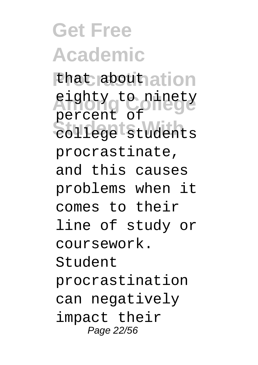**Get Free Academic** that about ation **Among College** eighty to ninety **Students With** college students percent of procrastinate, and this causes problems when it comes to their line of study or coursework. Student procrastination can negatively impact their Page 22/56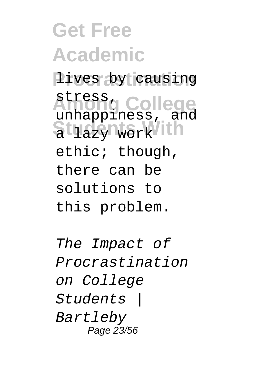**Get Free Academic Procrastination** lives by causing **Among College** stress, Students With unhappiness, and ethic; though, there can be solutions to this problem.

The Impact of Procrastination on College Students | Bartleby Page 23/56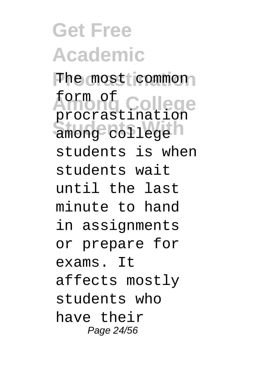## **Get Free Academic**

The most common **Among College** form of among college<sup>n</sup> procrastination students is when students wait until the last minute to hand in assignments or prepare for exams. It affects mostly students who have their Page 24/56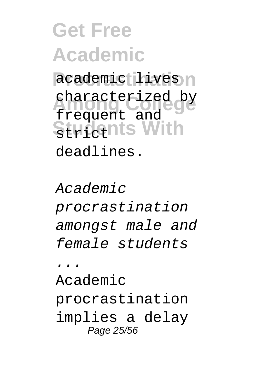## **Get Free Academic** academic lives n characterized by **Students With** frequent and deadlines.

 $AreaA$ emic procrastination amongst male and female students

... Academic procrastination implies a delay Page 25/56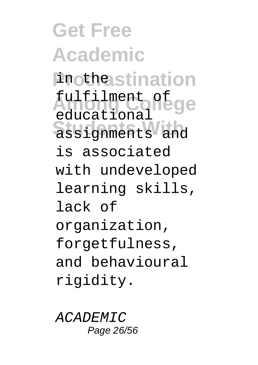**Get Free Academic Prothestination** fulfilment of **Students With** assignments and educational is associated with undeveloped learning skills, lack of organization, forgetfulness, and behavioural rigidity.

ACADEMIC Page 26/56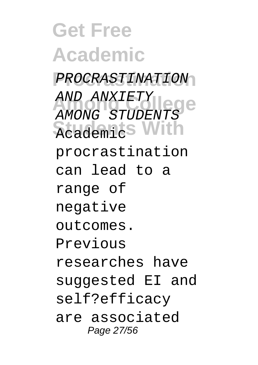**Get Free Academic Procrastination** PROCRASTINATION AND ANXIETY<br>AMONG STUDENTS **Students With** Academic AND ANXIETY procrastination can lead to a range of negative outcomes. Previous researches have suggested EI and self?efficacy are associated Page 27/56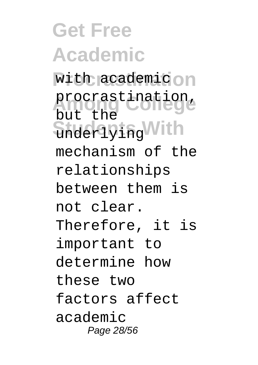**Get Free Academic** with academic on procrastination, **Students With** underlying but the mechanism of the relationships between them is not clear. Therefore, it is important to determine how these two factors affect academic Page 28/56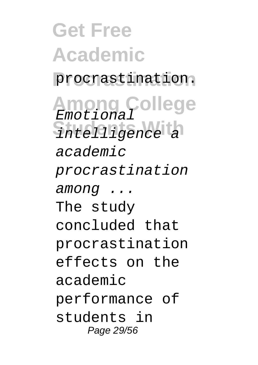**Get Free Academic Procrastination** procrastination. **Among College** Emotional Sintelligence a academic procrastination among ... The study concluded that procrastination effects on the academic performance of students in Page 29/56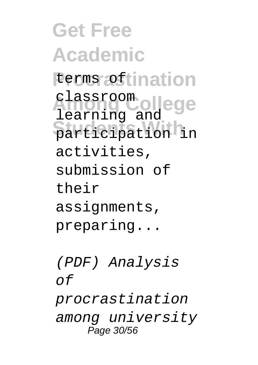**Get Free Academic** terms of tination classroom ollege<br>learning and **Students With** participation in classroom activities, submission of their assignments, preparing...

(PDF) Analysis  $\cap$ f procrastination among university Page 30/56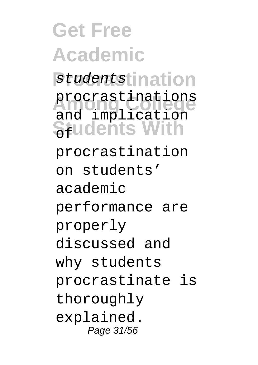**Get Free Academic** studentstination procrastinations<br>and implication **Students With** procrastinations procrastination on students' academic performance are properly discussed and why students procrastinate is thoroughly explained. Page 31/56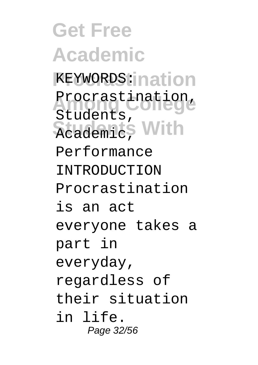**Get Free Academic KEYWORDS:ination** Procrastination, **Reademic**, With Students, Performance INTRODUCTION Procrastination is an act everyone takes a part in everyday, regardless of their situation in life. Page 32/56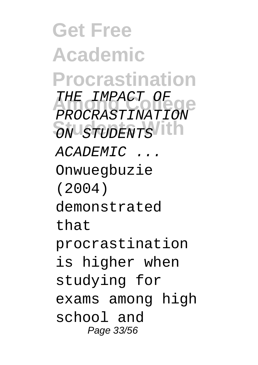**Get Free Academic Procrastination** THE IMPACT OF **Students With** ON STUDENTS PROCRASTINATION  $ACADEMTC$ Onwuegbuzie (2004) demonstrated that procrastination is higher when studying for exams among high school and Page 33/56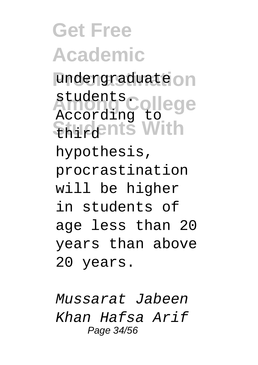**Get Free Academic** undergraduate<sup>on</sup> students.college **Shudents With** According to hypothesis, procrastination will be higher in students of age less than 20 years than above 20 years.

Mussarat Jabeen Khan Hafsa Arif Page 34/56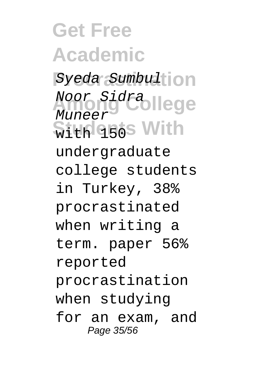**Get Free Academic** Syeda Sumbulton Noor Sidra llege  $$$ ith 150s With Muneer undergraduate college students in Turkey, 38% procrastinated when writing a term. paper 56% reported procrastination when studying for an exam, and Page 35/56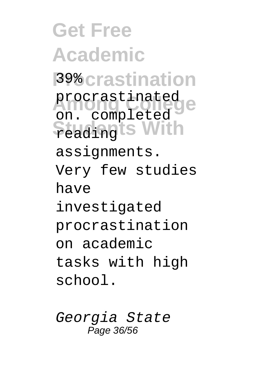**Get Free Academic Procrastination** 39% procrastinated<br>**Procrastinated Studingts With** on. completed assignments. Very few studies have investigated procrastination on academic tasks with high school.

Georgia State Page 36/56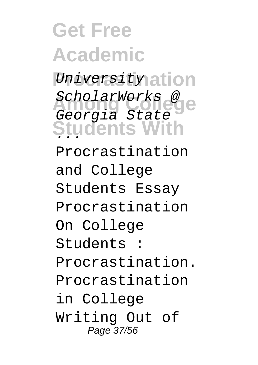**Get Free Academic** University ation Scnolarworks<br>Georgia State **Students With** ScholarWorks @ Procrastination and College Students Essay Procrastination On College Students : Procrastination. Procrastination in College Writing Out of Page 37/56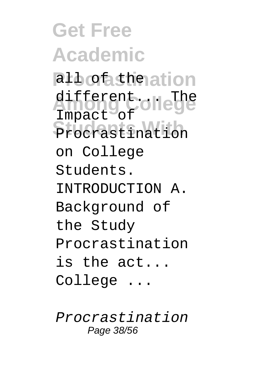**Get Free Academic** al*l* of the ation different... The **Procrastination** Impact of on College Students. INTRODUCTION A. Background of the Study Procrastination is the act... College ...

Procrastination Page 38/56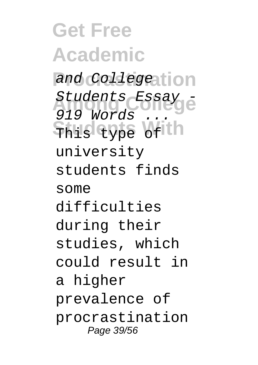**Get Free Academic** and Collegeation Students Essay -This type of the 919 Words university students finds some difficulties during their studies, which could result in a higher prevalence of procrastination Page 39/56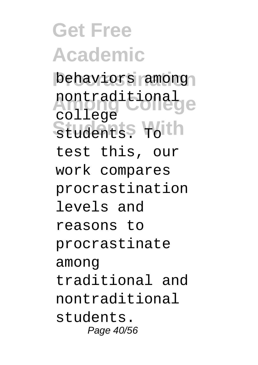**Get Free Academic** behaviors among nontraditional Students<sup>S</sup> roith college test this, our work compares procrastination levels and reasons to procrastinate among traditional and nontraditional students. Page 40/56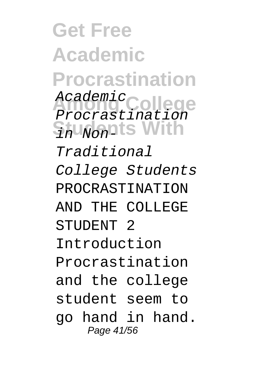**Get Free Academic Procrastination** Academic<br>Procrastination Shu<sub>Non</sub>nts With Academic Traditional College Students PROCRASTINATION AND THE COLLEGE STUDENT<sub>2</sub> Introduction Procrastination and the college student seem to go hand in hand. Page 41/56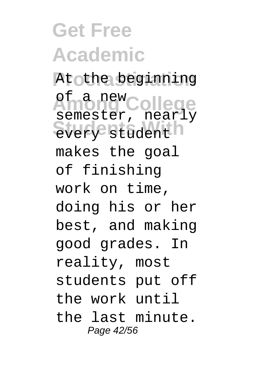**Get Free Academic** At othe beginning **Among College** of a new every student semester, nearly makes the goal of finishing work on time, doing his or her best, and making good grades. In reality, most students put off the work until the last minute. Page 42/56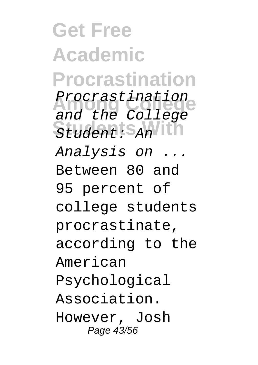**Get Free Academic Procrastination** Procrastination Student: S<sub>An</sub> and the College Analysis on ... Between 80 and 95 percent of college students procrastinate, according to the American Psychological Association. However, Josh Page 43/56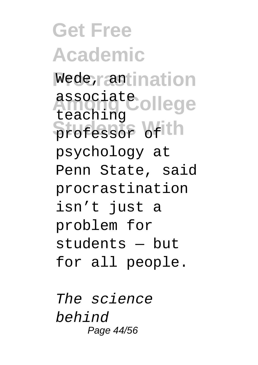**Get Free Academic** Wede, rantination associate ollege **Students With** professor of teaching psychology at Penn State, said procrastination isn't just a problem for students — but for all people.

The science behind Page 44/56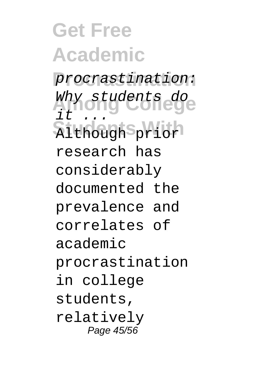**Get Free Academic Procrastination** procrastination: **Among College** Why students do **Students With** Although prior it ... research has considerably documented the prevalence and correlates of academic procrastination in college students, relatively Page 45/56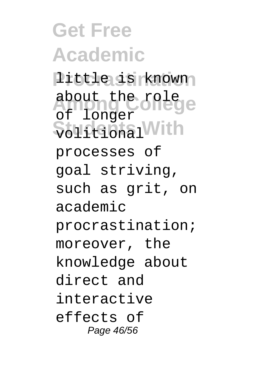**Get Free Academic Procrastination** little is known about the rolege  $\overline{\$b1}$ <sub>1</sub> R<sub>1</sub> and <sup>1</sup> With of longer processes of goal striving, such as grit, on academic procrastination; moreover, the knowledge about direct and interactive effects of Page 46/56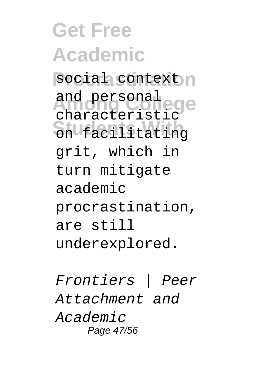**Get Free Academic** social context n and personal<br>characteristic Shufacilitating and personal grit, which in turn mitigate academic procrastination, are still underexplored.

Frontiers | Peer Attachment and Academic Page 47/56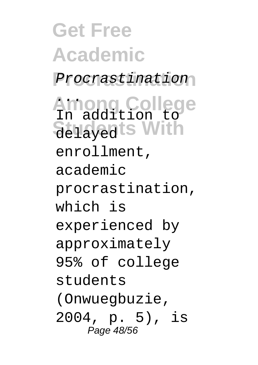**Get Free Academic Procrastination** Procrastination **Among College** ... **Students With** delayed In addition to enrollment, academic procrastination, which is experienced by approximately 95% of college students (Onwuegbuzie, 2004, p. 5), is Page 48/56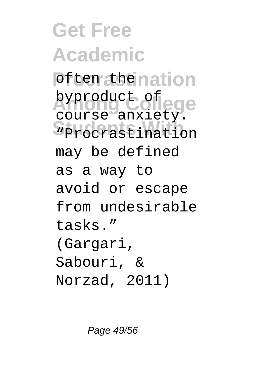**Get Free Academic Poften the nation American College**<br> **Course anxiety. Students With** "Procrastination byproduct of may be defined as a way to avoid or escape from undesirable tasks." (Gargari, Sabouri, & Norzad, 2011)

Page 49/56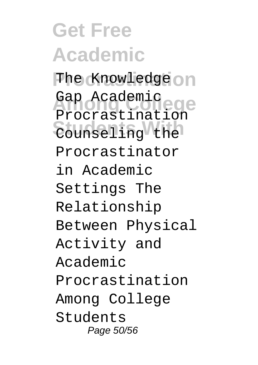**Get Free Academic** The Knowledge on Gap Academic<br>Presmetination **Students With** Counseling the Procrastination Procrastinator in Academic Settings The Relationship Between Physical Activity and Academic Procrastination Among College Students Page 50/56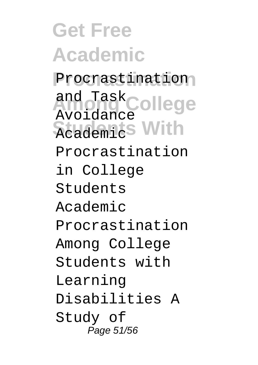**Get Free Academic Procrastination** Procrastination **College Students With** Academic and Task Avoidance Procrastination in College Students Academic Procrastination Among College Students with Learning Disabilities A Study of Page 51/56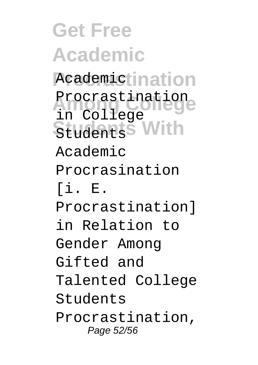**Get Free Academic** Academictination Procrastination<br>Procedure Students With in College Academic Procrasination  $[i], E$ . Procrastination] in Relation to Gender Among Gifted and Talented College Students Procrastination, Page 52/56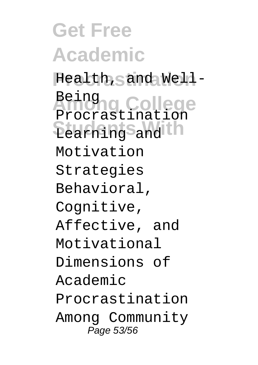**Get Free Academic** Health, Sand Well-**Among College** Learning S<sub>and</sub> th Being Procrastination Motivation Strategies Behavioral, Cognitive, Affective, and Motivational Dimensions of Academic Procrastination Among Community Page 53/56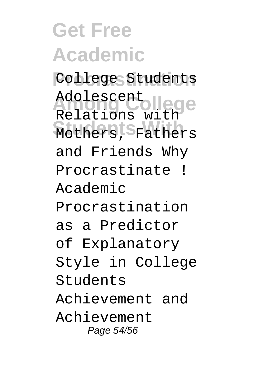# **Get Free Academic**

**Procrastination** College Students Adolescent<br>Relations with **Students With** Mothers, Fathers Adolescent and Friends Why Procrastinate ! Academic Procrastination as a Predictor of Explanatory Style in College Students Achievement and Achievement Page 54/56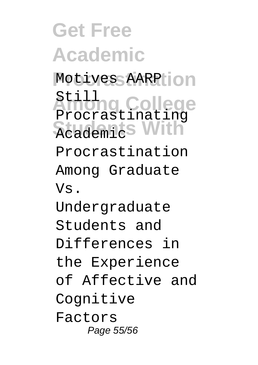**Get Free Academic** Motives AARPHON **Among College Students With** Academic Still Procrastinating Procrastination Among Graduate Vs. Undergraduate Students and Differences in the Experience of Affective and Cognitive Factors Page 55/56